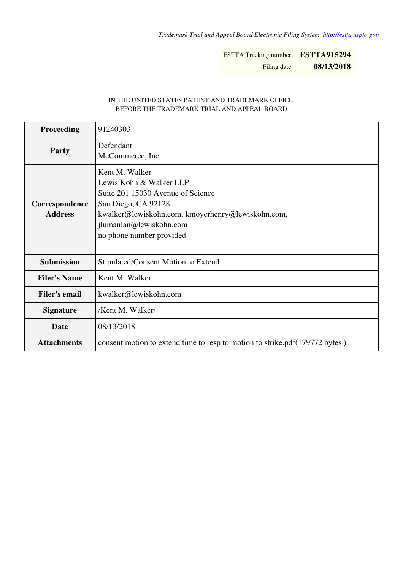ESTTA Tracking number: **ESTTA915294** Filing date: **08/13/2018**

## IN THE UNITED STATES PATENT AND TRADEMARK OFFICE BEFORE THE TRADEMARK TRIAL AND APPEAL BOARD

| Proceeding                       | 91240303                                                                                                                                                                                                          |
|----------------------------------|-------------------------------------------------------------------------------------------------------------------------------------------------------------------------------------------------------------------|
| <b>Party</b>                     | Defendant<br>MeCommerce, Inc.                                                                                                                                                                                     |
| Correspondence<br><b>Address</b> | Kent M. Walker<br>Lewis Kohn & Walker LLP<br>Suite 201 15030 Avenue of Science<br>San Diego, CA 92128<br>kwalker@lewiskohn.com, kmoyerhenry@lewiskohn.com,<br>jlumanlan@lewiskohn.com<br>no phone number provided |
| <b>Submission</b>                | Stipulated/Consent Motion to Extend                                                                                                                                                                               |
| <b>Filer's Name</b>              | Kent M. Walker                                                                                                                                                                                                    |
| <b>Filer's email</b>             | kwalker@lewiskohn.com                                                                                                                                                                                             |
| <b>Signature</b>                 | /Kent M. Walker/                                                                                                                                                                                                  |
| Date                             | 08/13/2018                                                                                                                                                                                                        |
| <b>Attachments</b>               | consent motion to extend time to resp to motion to strike.pdf(179772 bytes)                                                                                                                                       |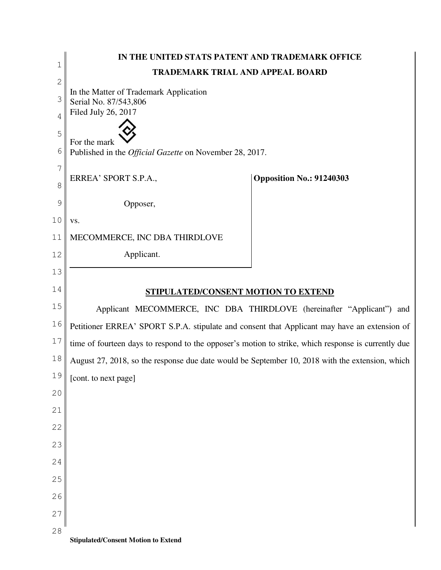| $\mathbf 1$  | IN THE UNITED STATS PATENT AND TRADEMARK OFFICE                                                     |                                                                       |  |
|--------------|-----------------------------------------------------------------------------------------------------|-----------------------------------------------------------------------|--|
|              | <b>TRADEMARK TRIAL AND APPEAL BOARD</b>                                                             |                                                                       |  |
| $\mathbf{2}$ | In the Matter of Trademark Application                                                              |                                                                       |  |
| 3            | Serial No. 87/543,806<br>Filed July 26, 2017                                                        |                                                                       |  |
| 4            |                                                                                                     |                                                                       |  |
| 5            | For the mark                                                                                        |                                                                       |  |
| 6            | Published in the <i>Official Gazette</i> on November 28, 2017.                                      |                                                                       |  |
| 7            |                                                                                                     |                                                                       |  |
| 8            | ERREA' SPORT S.P.A.,                                                                                | <b>Opposition No.: 91240303</b>                                       |  |
| 9            | Opposer,                                                                                            |                                                                       |  |
| 10           | VS.                                                                                                 |                                                                       |  |
| 11           | MECOMMERCE, INC DBA THIRDLOVE                                                                       |                                                                       |  |
| 12           | Applicant.                                                                                          |                                                                       |  |
| 13           |                                                                                                     |                                                                       |  |
| 14           | STIPULATED/CONSENT MOTION TO EXTEND                                                                 |                                                                       |  |
| 15           |                                                                                                     | Applicant MECOMMERCE, INC DBA THIRDLOVE (hereinafter "Applicant") and |  |
| 16           | Petitioner ERREA' SPORT S.P.A. stipulate and consent that Applicant may have an extension of        |                                                                       |  |
| 17           | time of fourteen days to respond to the opposer's motion to strike, which response is currently due |                                                                       |  |
| 18           | August 27, 2018, so the response due date would be September 10, 2018 with the extension, which     |                                                                       |  |
| 19           | [cont. to next page]                                                                                |                                                                       |  |
| 20           |                                                                                                     |                                                                       |  |
| 21           |                                                                                                     |                                                                       |  |
| 22           |                                                                                                     |                                                                       |  |
| 23           |                                                                                                     |                                                                       |  |
| 24           |                                                                                                     |                                                                       |  |
| 25           |                                                                                                     |                                                                       |  |
| 26           |                                                                                                     |                                                                       |  |
| 27           |                                                                                                     |                                                                       |  |
| 28           |                                                                                                     |                                                                       |  |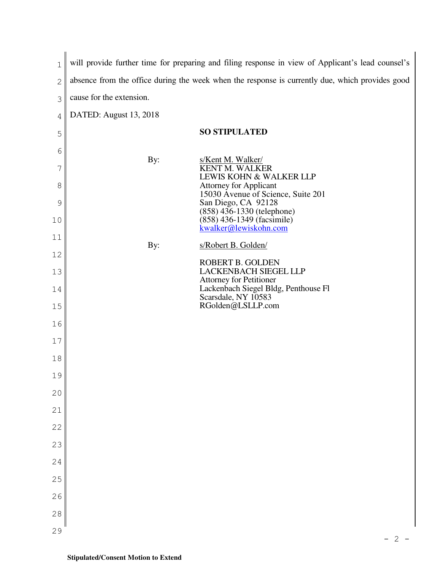| 1              | will provide further time for preparing and filing response in view of Applicant's lead counsel's |                                                                                                 |  |
|----------------|---------------------------------------------------------------------------------------------------|-------------------------------------------------------------------------------------------------|--|
| $\overline{c}$ |                                                                                                   | absence from the office during the week when the response is currently due, which provides good |  |
| 3              | cause for the extension.                                                                          |                                                                                                 |  |
| 4              | DATED: August 13, 2018                                                                            |                                                                                                 |  |
| 5              |                                                                                                   | <b>SO STIPULATED</b>                                                                            |  |
| 6              |                                                                                                   |                                                                                                 |  |
| 7              | By:                                                                                               | s/Kent M. Walker/<br>KENT M. WALKER<br>LEWIS KOHN & WALKER LLP                                  |  |
| 8              |                                                                                                   | <b>Attorney for Applicant</b><br>15030 Avenue of Science, Suite 201                             |  |
| 9              |                                                                                                   | San Diego, CA 92128<br>(858) 436-1330 (telephone)<br>(858) 436-1349 (facsimile)                 |  |
| 10             |                                                                                                   | kwalker@lewiskohn.com                                                                           |  |
| 11             | By:                                                                                               | s/Robert B. Golden/                                                                             |  |
| 12             |                                                                                                   | ROBERT B. GOLDEN                                                                                |  |
| 13             |                                                                                                   | <b>LACKENBACH SIEGEL LLP</b><br><b>Attorney for Petitioner</b>                                  |  |
| 14             |                                                                                                   | Lackenbach Siegel Bldg, Penthouse Fl<br>Scarsdale, NY 10583                                     |  |
| 15             |                                                                                                   | RGolden@LSLLP.com                                                                               |  |
| 16             |                                                                                                   |                                                                                                 |  |
| $17$           |                                                                                                   |                                                                                                 |  |
| 18             |                                                                                                   |                                                                                                 |  |
| 19             |                                                                                                   |                                                                                                 |  |
| 20             |                                                                                                   |                                                                                                 |  |
| 21             |                                                                                                   |                                                                                                 |  |
| 22             |                                                                                                   |                                                                                                 |  |
| 23             |                                                                                                   |                                                                                                 |  |
| 24             |                                                                                                   |                                                                                                 |  |
| 25             |                                                                                                   |                                                                                                 |  |
| 26             |                                                                                                   |                                                                                                 |  |
| 28             |                                                                                                   |                                                                                                 |  |
| 29             |                                                                                                   |                                                                                                 |  |